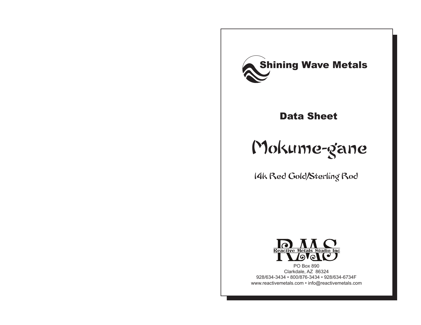

Data Sheet

# Mokume-gane

14k Red Gold/Sterling Rod



PO Box 890 Clarkdale, AZ 86324 928/634-3434 • 800/876-3434 • 928/634-6734F www.reactivemetals.com • info@reactivemetals.com